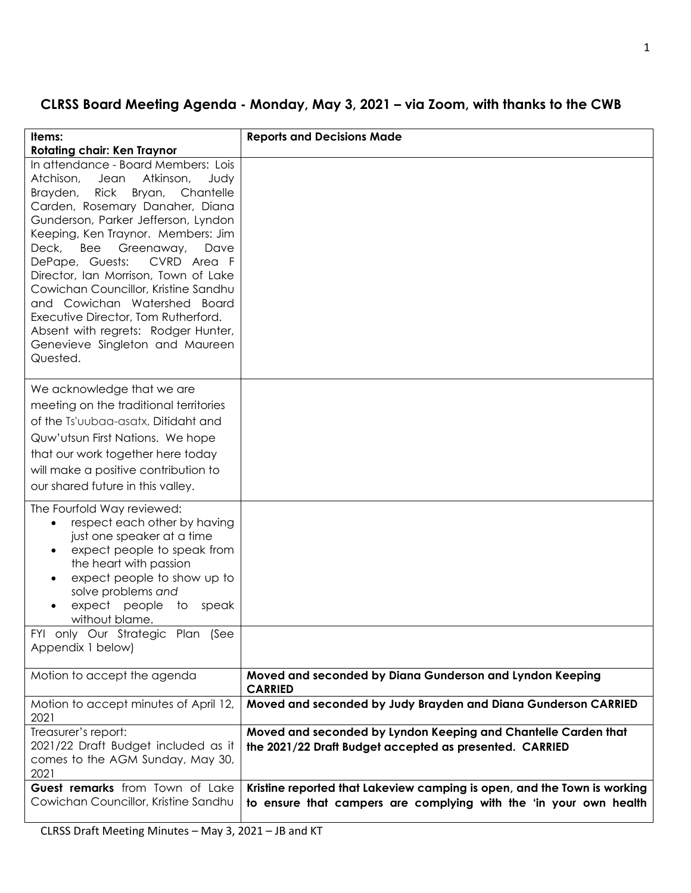## **CLRSS Board Meeting Agenda - Monday, May 3, 2021 – via Zoom, with thanks to the CWB**

| Items:<br><b>Rotating chair: Ken Traynor</b>                                                                                                                                                                                                                                                                                                                                                                                                                                                                                                                         | <b>Reports and Decisions Made</b>                                                                                                             |
|----------------------------------------------------------------------------------------------------------------------------------------------------------------------------------------------------------------------------------------------------------------------------------------------------------------------------------------------------------------------------------------------------------------------------------------------------------------------------------------------------------------------------------------------------------------------|-----------------------------------------------------------------------------------------------------------------------------------------------|
| In attendance - Board Members: Lois<br>Atkinson,<br>Atchison,<br>Judy<br>Jean<br>Brayden,<br><b>Rick</b><br>Bryan,<br>Chantelle<br>Carden, Rosemary Danaher, Diana<br>Gunderson, Parker Jefferson, Lyndon<br>Keeping, Ken Traynor. Members: Jim<br>Deck,<br>Bee<br>Greenaway,<br>Dave<br>CVRD Area F<br>DePape, Guests:<br>Director, Ian Morrison, Town of Lake<br>Cowichan Councillor, Kristine Sandhu<br>and Cowichan Watershed Board<br>Executive Director, Tom Rutherford.<br>Absent with regrets: Rodger Hunter,<br>Genevieve Singleton and Maureen<br>Quested. |                                                                                                                                               |
| We acknowledge that we are<br>meeting on the traditional territories<br>of the Ts'uubaa-asatx, Ditidaht and<br>Quw'utsun First Nations. We hope<br>that our work together here today<br>will make a positive contribution to<br>our shared future in this valley.                                                                                                                                                                                                                                                                                                    |                                                                                                                                               |
| The Fourfold Way reviewed:<br>respect each other by having<br>just one speaker at a time<br>expect people to speak from<br>the heart with passion<br>expect people to show up to<br>solve problems and<br>expect people<br>to<br>speak<br>without blame.<br>FYI only Our Strategic Plan (See<br>Appendix 1 below)                                                                                                                                                                                                                                                    |                                                                                                                                               |
| Motion to accept the agenda                                                                                                                                                                                                                                                                                                                                                                                                                                                                                                                                          | Moved and seconded by Diana Gunderson and Lyndon Keeping                                                                                      |
| Motion to accept minutes of April 12,<br>2021                                                                                                                                                                                                                                                                                                                                                                                                                                                                                                                        | <b>CARRIED</b><br>Moved and seconded by Judy Brayden and Diana Gunderson CARRIED                                                              |
| Treasurer's report:<br>2021/22 Draft Budget included as it<br>comes to the AGM Sunday, May 30,<br>2021                                                                                                                                                                                                                                                                                                                                                                                                                                                               | Moved and seconded by Lyndon Keeping and Chantelle Carden that<br>the 2021/22 Draft Budget accepted as presented. CARRIED                     |
| Guest remarks from Town of Lake<br>Cowichan Councillor, Kristine Sandhu                                                                                                                                                                                                                                                                                                                                                                                                                                                                                              | Kristine reported that Lakeview camping is open, and the Town is working<br>to ensure that campers are complying with the 'in your own health |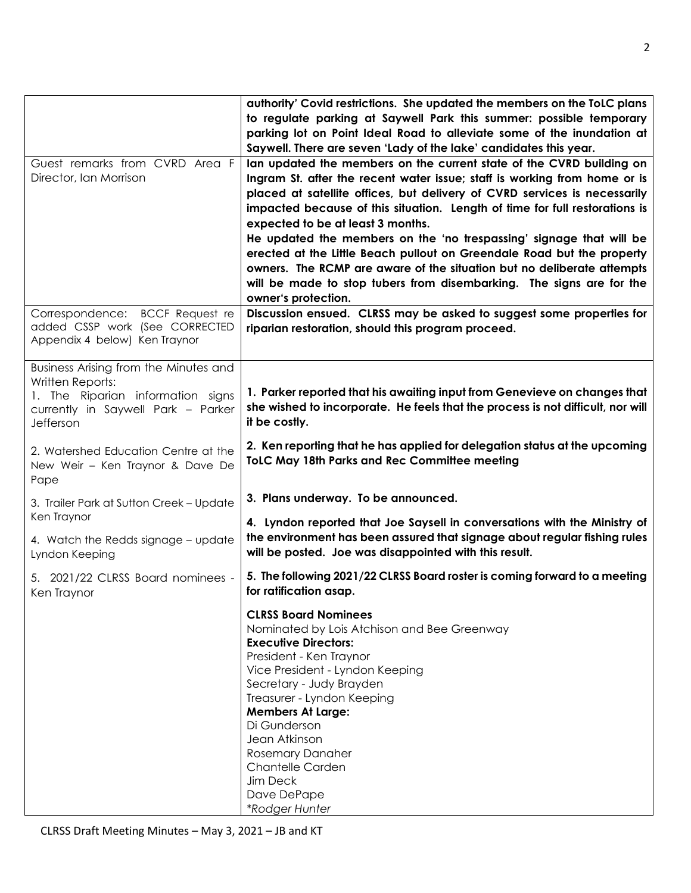| Guest remarks from CVRD Area F<br>Director, Ian Morrison                                                                                          | authority' Covid restrictions. She updated the members on the ToLC plans<br>to regulate parking at Saywell Park this summer: possible temporary<br>parking lot on Point Ideal Road to alleviate some of the inundation at<br>Saywell. There are seven 'Lady of the lake' candidates this year.<br>lan updated the members on the current state of the CVRD building on<br>Ingram St. after the recent water issue; staff is working from home or is<br>placed at satellite offices, but delivery of CVRD services is necessarily<br>impacted because of this situation. Length of time for full restorations is<br>expected to be at least 3 months.<br>He updated the members on the 'no trespassing' signage that will be<br>erected at the Little Beach pullout on Greendale Road but the property<br>owners. The RCMP are aware of the situation but no deliberate attempts<br>will be made to stop tubers from disembarking. The signs are for the<br>owner's protection. |
|---------------------------------------------------------------------------------------------------------------------------------------------------|--------------------------------------------------------------------------------------------------------------------------------------------------------------------------------------------------------------------------------------------------------------------------------------------------------------------------------------------------------------------------------------------------------------------------------------------------------------------------------------------------------------------------------------------------------------------------------------------------------------------------------------------------------------------------------------------------------------------------------------------------------------------------------------------------------------------------------------------------------------------------------------------------------------------------------------------------------------------------------|
| Correspondence: BCCF Request re<br>added CSSP work (See CORRECTED<br>Appendix 4 below) Ken Traynor                                                | Discussion ensued. CLRSS may be asked to suggest some properties for<br>riparian restoration, should this program proceed.                                                                                                                                                                                                                                                                                                                                                                                                                                                                                                                                                                                                                                                                                                                                                                                                                                                     |
| Business Arising from the Minutes and<br>Written Reports:<br>1. The Riparian information signs<br>currently in Saywell Park - Parker<br>Jefferson | 1. Parker reported that his awaiting input from Genevieve on changes that<br>she wished to incorporate. He feels that the process is not difficult, nor will<br>it be costly.                                                                                                                                                                                                                                                                                                                                                                                                                                                                                                                                                                                                                                                                                                                                                                                                  |
| 2. Watershed Education Centre at the<br>New Weir - Ken Traynor & Dave De<br>Pape                                                                  | 2. Ken reporting that he has applied for delegation status at the upcoming<br><b>ToLC May 18th Parks and Rec Committee meeting</b>                                                                                                                                                                                                                                                                                                                                                                                                                                                                                                                                                                                                                                                                                                                                                                                                                                             |
| 3. Trailer Park at Sutton Creek - Update<br>Ken Traynor                                                                                           | 3. Plans underway. To be announced.<br>4. Lyndon reported that Joe Saysell in conversations with the Ministry of                                                                                                                                                                                                                                                                                                                                                                                                                                                                                                                                                                                                                                                                                                                                                                                                                                                               |
| 4. Watch the Redds signage - update<br>Lyndon Keeping                                                                                             | the environment has been assured that signage about regular fishing rules<br>will be posted. Joe was disappointed with this result.                                                                                                                                                                                                                                                                                                                                                                                                                                                                                                                                                                                                                                                                                                                                                                                                                                            |
| 5. 2021/22 CLRSS Board nominees -<br>Ken Traynor                                                                                                  | 5. The following 2021/22 CLRSS Board roster is coming forward to a meeting<br>for ratification asap.                                                                                                                                                                                                                                                                                                                                                                                                                                                                                                                                                                                                                                                                                                                                                                                                                                                                           |
|                                                                                                                                                   | <b>CLRSS Board Nominees</b><br>Nominated by Lois Atchison and Bee Greenway<br><b>Executive Directors:</b><br>President - Ken Traynor<br>Vice President - Lyndon Keeping<br>Secretary - Judy Brayden<br>Treasurer - Lyndon Keeping<br><b>Members At Large:</b><br>Di Gunderson<br>Jean Atkinson<br><b>Rosemary Danaher</b><br><b>Chantelle Carden</b><br>Jim Deck<br>Dave DePape<br>*Rodger Hunter                                                                                                                                                                                                                                                                                                                                                                                                                                                                                                                                                                              |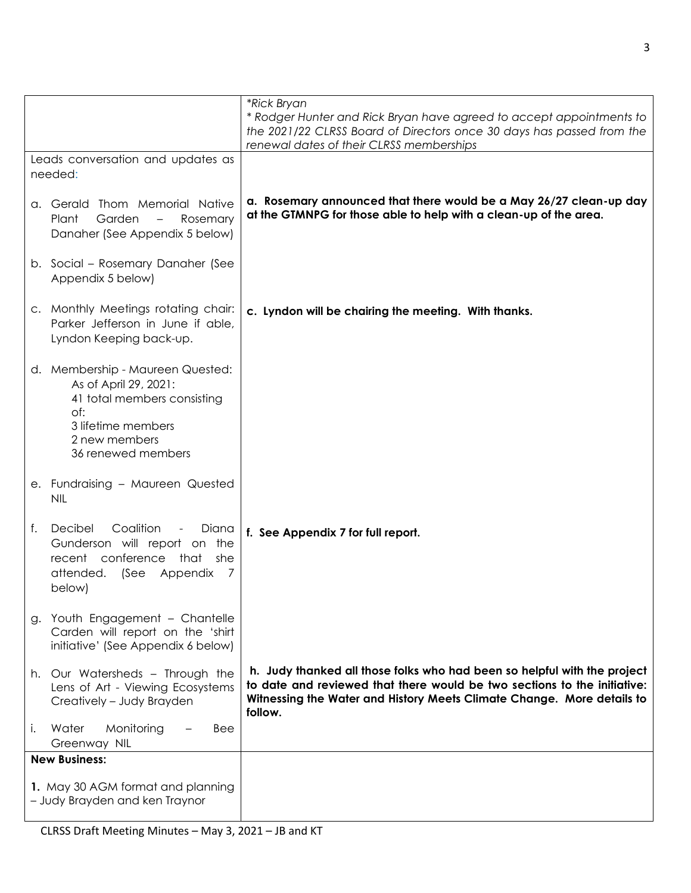|                                   |                                                                                                                                                              | *Rick Bryan                                                                                                                                                                                                                               |  |
|-----------------------------------|--------------------------------------------------------------------------------------------------------------------------------------------------------------|-------------------------------------------------------------------------------------------------------------------------------------------------------------------------------------------------------------------------------------------|--|
|                                   |                                                                                                                                                              | * Rodger Hunter and Rick Bryan have agreed to accept appointments to<br>the 2021/22 CLRSS Board of Directors once 30 days has passed from the<br>renewal dates of their CLRSS memberships                                                 |  |
| Leads conversation and updates as |                                                                                                                                                              |                                                                                                                                                                                                                                           |  |
|                                   | needed:                                                                                                                                                      |                                                                                                                                                                                                                                           |  |
|                                   | a. Gerald Thom Memorial Native<br>Garden<br>Plant<br>Rosemary<br>Danaher (See Appendix 5 below)                                                              | a. Rosemary announced that there would be a May 26/27 clean-up day<br>at the GTMNPG for those able to help with a clean-up of the area.                                                                                                   |  |
|                                   | b. Social - Rosemary Danaher (See<br>Appendix 5 below)                                                                                                       |                                                                                                                                                                                                                                           |  |
|                                   | c. Monthly Meetings rotating chair:<br>Parker Jefferson in June if able,<br>Lyndon Keeping back-up.                                                          | c. Lyndon will be chairing the meeting. With thanks.                                                                                                                                                                                      |  |
|                                   | d. Membership - Maureen Quested:<br>As of April 29, 2021:<br>41 total members consisting<br>of:<br>3 lifetime members<br>2 new members<br>36 renewed members |                                                                                                                                                                                                                                           |  |
|                                   | e. Fundraising - Maureen Quested<br><b>NIL</b>                                                                                                               |                                                                                                                                                                                                                                           |  |
| f.                                | Decibel<br>Coalition<br>Diana<br>Gunderson will report on the<br>conference<br>recent<br>that<br>she<br>attended.<br>(See<br>Appendix<br>7<br>below)         | f. See Appendix 7 for full report.                                                                                                                                                                                                        |  |
|                                   | g. Youth Engagement - Chantelle<br>Carden will report on the 'shirt<br>initiative' (See Appendix 6 below)                                                    |                                                                                                                                                                                                                                           |  |
|                                   | h. Our Watersheds - Through the<br>Lens of Art - Viewing Ecosystems<br>Creatively - Judy Brayden                                                             | h. Judy thanked all those folks who had been so helpful with the project<br>to date and reviewed that there would be two sections to the initiative:<br>Witnessing the Water and History Meets Climate Change. More details to<br>follow. |  |
| j.                                | Monitoring<br>Water<br>Bee<br>Greenway NIL                                                                                                                   |                                                                                                                                                                                                                                           |  |
|                                   | <b>New Business:</b>                                                                                                                                         |                                                                                                                                                                                                                                           |  |
|                                   | 1. May 30 AGM format and planning<br>- Judy Brayden and ken Traynor                                                                                          |                                                                                                                                                                                                                                           |  |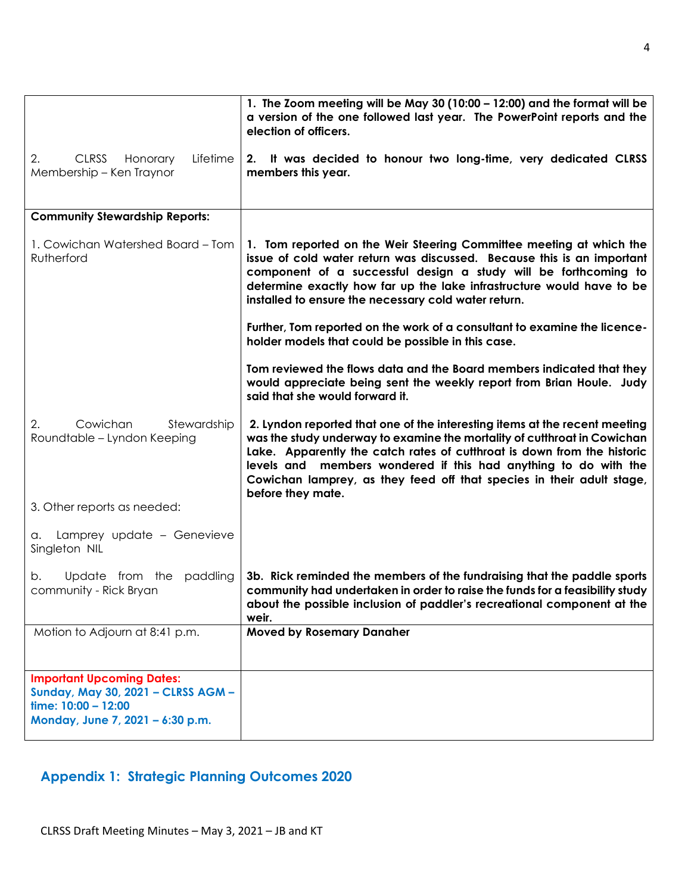|                                                                                                                                   | 1. The Zoom meeting will be May 30 (10:00 - 12:00) and the format will be<br>a version of the one followed last year. The PowerPoint reports and the<br>election of officers.                                                                                                                                                                                                                      |  |  |
|-----------------------------------------------------------------------------------------------------------------------------------|----------------------------------------------------------------------------------------------------------------------------------------------------------------------------------------------------------------------------------------------------------------------------------------------------------------------------------------------------------------------------------------------------|--|--|
| <b>CLRSS</b><br>Lifetime<br>2.<br>Honorary<br>Membership - Ken Traynor                                                            | 2. It was decided to honour two long-time, very dedicated CLRSS<br>members this year.                                                                                                                                                                                                                                                                                                              |  |  |
| <b>Community Stewardship Reports:</b>                                                                                             |                                                                                                                                                                                                                                                                                                                                                                                                    |  |  |
| 1. Cowichan Watershed Board – Tom<br>Rutherford                                                                                   | 1. Tom reported on the Weir Steering Committee meeting at which the<br>issue of cold water return was discussed. Because this is an important<br>component of a successful design a study will be forthcoming to<br>determine exactly how far up the lake infrastructure would have to be<br>installed to ensure the necessary cold water return.                                                  |  |  |
|                                                                                                                                   | Further, Tom reported on the work of a consultant to examine the licence-<br>holder models that could be possible in this case.                                                                                                                                                                                                                                                                    |  |  |
|                                                                                                                                   | Tom reviewed the flows data and the Board members indicated that they<br>would appreciate being sent the weekly report from Brian Houle. Judy<br>said that she would forward it.                                                                                                                                                                                                                   |  |  |
| Cowichan<br>2.<br>Stewardship<br>Roundtable - Lyndon Keeping                                                                      | 2. Lyndon reported that one of the interesting items at the recent meeting<br>was the study underway to examine the mortality of cutthroat in Cowichan<br>Lake. Apparently the catch rates of cutthroat is down from the historic<br>levels and members wondered if this had anything to do with the<br>Cowichan lamprey, as they feed off that species in their adult stage,<br>before they mate. |  |  |
| 3. Other reports as needed:                                                                                                       |                                                                                                                                                                                                                                                                                                                                                                                                    |  |  |
| Lamprey update - Genevieve<br>а.<br>Singleton NIL                                                                                 |                                                                                                                                                                                                                                                                                                                                                                                                    |  |  |
| Update from the<br>paddling<br>b.<br>community - Rick Bryan                                                                       | 3b. Rick reminded the members of the fundraising that the paddle sports<br>community had undertaken in order to raise the funds for a feasibility study<br>about the possible inclusion of paddler's recreational component at the<br>weir.                                                                                                                                                        |  |  |
| Motion to Adjourn at 8:41 p.m.                                                                                                    | <b>Moved by Rosemary Danaher</b>                                                                                                                                                                                                                                                                                                                                                                   |  |  |
| <b>Important Upcoming Dates:</b><br>Sunday, May 30, 2021 - CLRSS AGM -<br>time: 10:00 - 12:00<br>Monday, June 7, 2021 - 6:30 p.m. |                                                                                                                                                                                                                                                                                                                                                                                                    |  |  |

# **Appendix 1: Strategic Planning Outcomes 2020**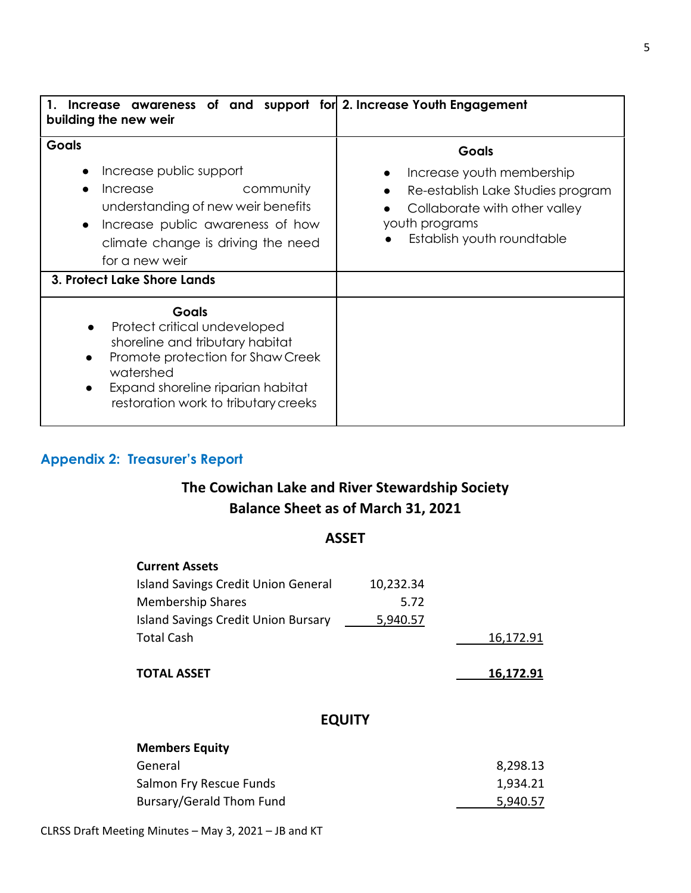| Increase awareness of and support for 2. Increase Youth Engagement<br>building the new weir                                                                                                                                  |                                                                                                                                                          |
|------------------------------------------------------------------------------------------------------------------------------------------------------------------------------------------------------------------------------|----------------------------------------------------------------------------------------------------------------------------------------------------------|
| <b>Goals</b><br>Increase public support<br>$\bullet$<br>community<br>Increase<br>understanding of new weir benefits<br>Increase public awareness of how<br>$\bullet$<br>climate change is driving the need<br>for a new weir | Goals<br>Increase youth membership<br>Re-establish Lake Studies program<br>Collaborate with other valley<br>youth programs<br>Establish youth roundtable |
| 3. Protect Lake Shore Lands                                                                                                                                                                                                  |                                                                                                                                                          |
| <b>Goals</b><br>Protect critical undeveloped<br>$\bullet$<br>shoreline and tributary habitat<br>Promote protection for Shaw Creek<br>watershed<br>Expand shoreline riparian habitat<br>restoration work to tributary creeks  |                                                                                                                                                          |

## **Appendix 2: Treasurer's Report**

# **The Cowichan Lake and River Stewardship Society Balance Sheet as of March 31, 2021**

#### **ASSET**

| <b>Current Assets</b>                      |           |           |
|--------------------------------------------|-----------|-----------|
| <b>Island Savings Credit Union General</b> | 10,232.34 |           |
| <b>Membership Shares</b>                   | 5.72      |           |
| <b>Island Savings Credit Union Bursary</b> | 5,940.57  |           |
| <b>Total Cash</b>                          |           | 16,172.91 |
| <b>TOTAL ASSET</b>                         |           | 16,172.91 |
| <b>EQUITY</b>                              |           |           |
| <b>Members Equity</b>                      |           |           |
| General                                    |           | 8,298.13  |
| Salmon Fry Rescue Funds                    |           | 1,934.21  |
| Bursary/Gerald Thom Fund                   |           | 5,940.57  |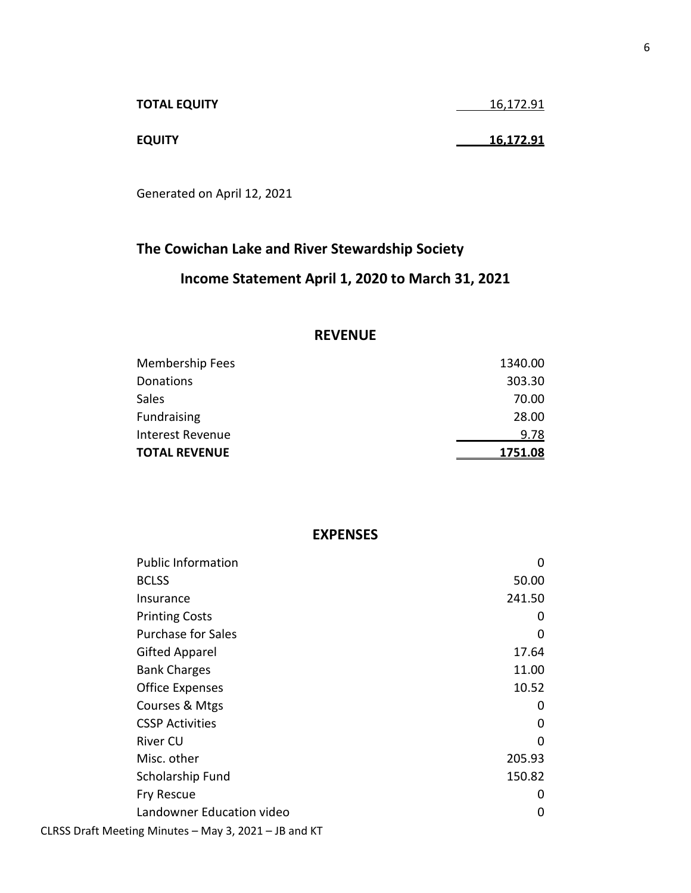| <b>TOTAL EQUITY</b> | 16,172.91 |
|---------------------|-----------|
|                     |           |
| <b>EQUITY</b>       | 16,172.91 |

Generated on April 12, 2021

# **The Cowichan Lake and River Stewardship Society Income Statement April 1, 2020 to March 31, 2021**

#### **REVENUE**

| Membership Fees      | 1340.00     |
|----------------------|-------------|
| Donations            | 303.30      |
| Sales                | 70.00       |
| Fundraising          | 28.00       |
| Interest Revenue     | <u>9.78</u> |
| <b>TOTAL REVENUE</b> | 1751.08     |

#### **EXPENSES**

| <b>Public Information</b>                             | 0        |
|-------------------------------------------------------|----------|
| <b>BCLSS</b>                                          | 50.00    |
| Insurance                                             | 241.50   |
| <b>Printing Costs</b>                                 | 0        |
| <b>Purchase for Sales</b>                             | 0        |
| <b>Gifted Apparel</b>                                 | 17.64    |
| <b>Bank Charges</b>                                   | 11.00    |
| <b>Office Expenses</b>                                | 10.52    |
| Courses & Mtgs                                        | 0        |
| <b>CSSP Activities</b>                                | 0        |
| <b>River CU</b>                                       | $\Omega$ |
| Misc. other                                           | 205.93   |
| Scholarship Fund                                      | 150.82   |
| <b>Fry Rescue</b>                                     | 0        |
| Landowner Education video                             | 0        |
| CLRSS Draft Meeting Minutes - May 3, 2021 - JB and KT |          |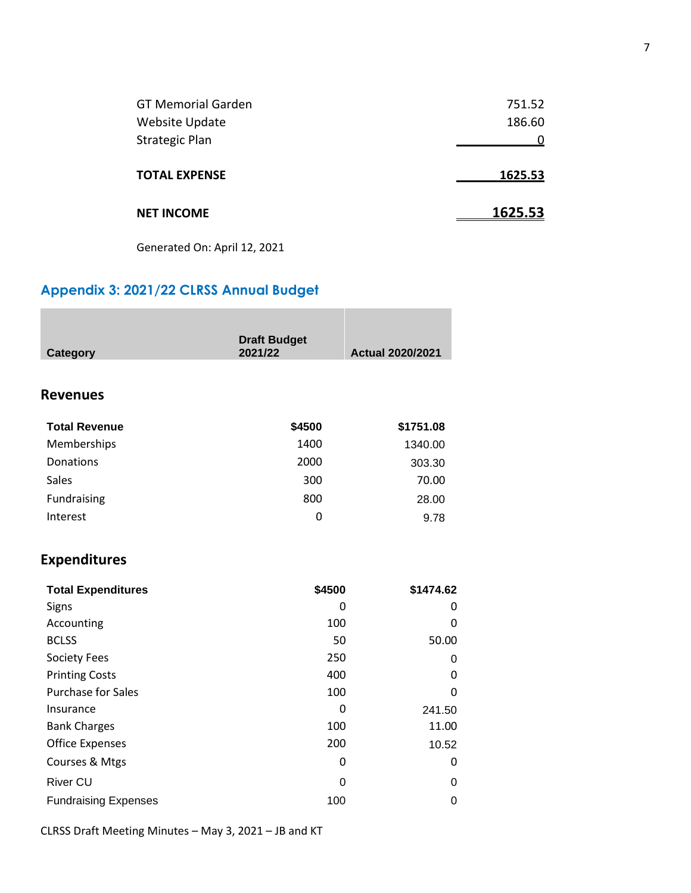| <b>GT Memorial Garden</b> | 751.52  |
|---------------------------|---------|
| <b>Website Update</b>     | 186.60  |
| <b>Strategic Plan</b>     |         |
| <b>TOTAL EXPENSE</b>      | 1625.53 |
| <b>NET INCOME</b>         | 1625.53 |

Generated On: April 12, 2021

## **Appendix 3: 2021/22 CLRSS Annual Budget**

| <b>Category</b>             | <b>Draft Budget</b><br>2021/22 | <b>Actual 2020/2021</b> |
|-----------------------------|--------------------------------|-------------------------|
|                             |                                |                         |
| <b>Revenues</b>             |                                |                         |
| <b>Total Revenue</b>        | \$4500                         | \$1751.08               |
| Memberships                 | 1400                           | 1340.00                 |
| <b>Donations</b>            | 2000                           | 303.30                  |
| <b>Sales</b>                | 300                            | 70.00                   |
| Fundraising                 | 800                            | 28.00                   |
| Interest                    | $\mathbf{0}$                   | 9.78                    |
| <b>Expenditures</b>         |                                |                         |
| <b>Total Expenditures</b>   | \$4500                         | \$1474.62               |
| Signs                       | 0                              | 0                       |
| Accounting                  | 100                            | 0                       |
| <b>BCLSS</b>                | 50                             | 50.00                   |
| <b>Society Fees</b>         | 250                            | 0                       |
| <b>Printing Costs</b>       | 400                            | 0                       |
| <b>Purchase for Sales</b>   | 100                            | 0                       |
| Insurance                   | 0                              | 241.50                  |
| <b>Bank Charges</b>         | 100                            | 11.00                   |
| <b>Office Expenses</b>      | 200                            | 10.52                   |
| Courses & Mtgs              | 0                              | 0                       |
| <b>River CU</b>             | 0                              | 0                       |
| <b>Fundraising Expenses</b> | 100                            | $\mathbf 0$             |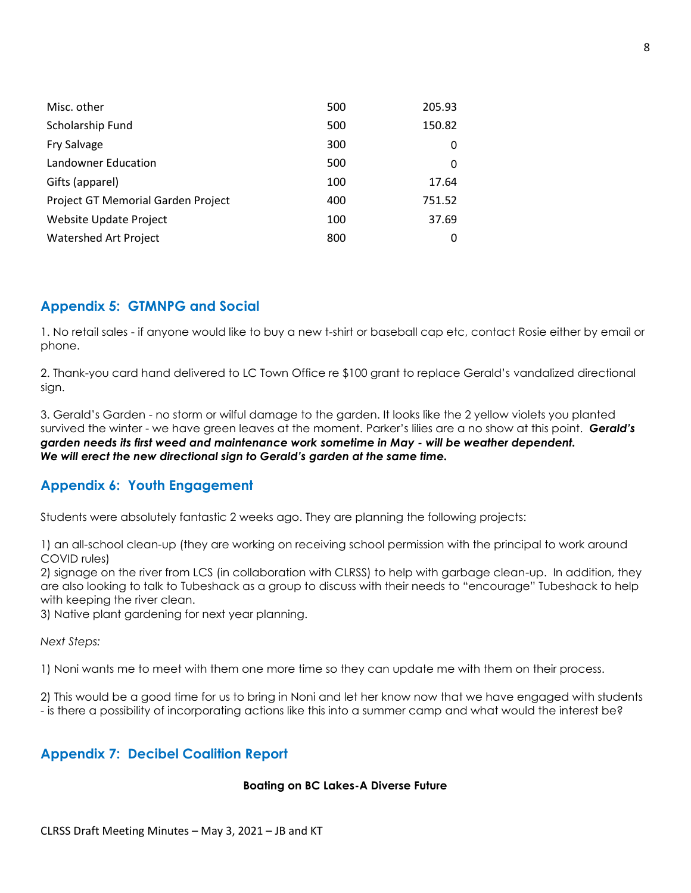| Misc. other                        | 500 | 205.93 |
|------------------------------------|-----|--------|
| Scholarship Fund                   | 500 | 150.82 |
| <b>Fry Salvage</b>                 | 300 | 0      |
| <b>Landowner Education</b>         | 500 | 0      |
| Gifts (apparel)                    | 100 | 17.64  |
| Project GT Memorial Garden Project | 400 | 751.52 |
| <b>Website Update Project</b>      | 100 | 37.69  |
| <b>Watershed Art Project</b>       | 800 |        |

## **Appendix 5: GTMNPG and Social**

1. No retail sales - if anyone would like to buy a new t-shirt or baseball cap etc, contact Rosie either by email or phone.

2. Thank-you card hand delivered to LC Town Office re \$100 grant to replace Gerald's vandalized directional sign.

3. Gerald's Garden - no storm or wilful damage to the garden. It looks like the 2 yellow violets you planted survived the winter - we have green leaves at the moment. Parker's lilies are a no show at this point. *Gerald's garden needs its first weed and maintenance work sometime in May - will be weather dependent. We will erect the new directional sign to Gerald's garden at the same time.*

## **Appendix 6: Youth Engagement**

Students were absolutely fantastic 2 weeks ago. They are planning the following projects:

1) an all-school clean-up (they are working on receiving school permission with the principal to work around COVID rules)

2) signage on the river from LCS (in collaboration with CLRSS) to help with garbage clean-up. In addition, they are also looking to talk to Tubeshack as a group to discuss with their needs to "encourage" Tubeshack to help with keeping the river clean.

3) Native plant gardening for next year planning.

*Next Steps:*

1) Noni wants me to meet with them one more time so they can update me with them on their process.

2) This would be a good time for us to bring in Noni and let her know now that we have engaged with students - is there a possibility of incorporating actions like this into a summer camp and what would the interest be?

#### **Appendix 7: Decibel Coalition Report**

#### **Boating on BC Lakes-A Diverse Future**